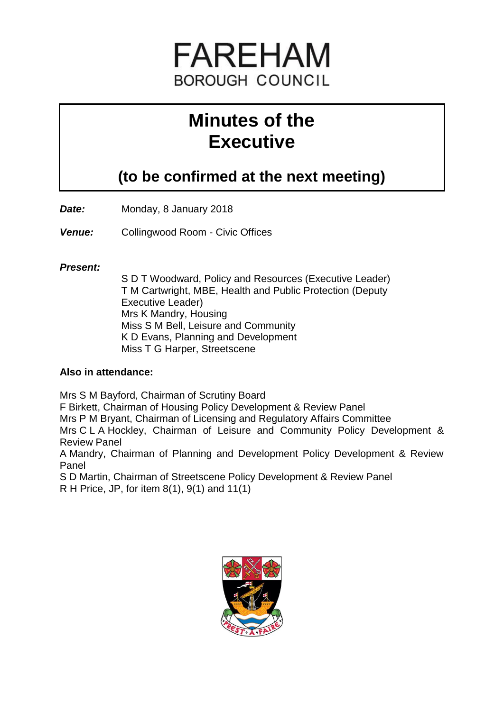

# **Minutes of the Executive**

## **(to be confirmed at the next meeting)**

*Date:* Monday, 8 January 2018

*Venue:* Collingwood Room - Civic Offices

#### *Present:*

S D T Woodward, Policy and Resources (Executive Leader) T M Cartwright, MBE, Health and Public Protection (Deputy Executive Leader) Mrs K Mandry, Housing Miss S M Bell, Leisure and Community K D Evans, Planning and Development Miss T G Harper, Streetscene

### **Also in attendance:**

Mrs S M Bayford, Chairman of Scrutiny Board F Birkett, Chairman of Housing Policy Development & Review Panel Mrs P M Bryant, Chairman of Licensing and Regulatory Affairs Committee Mrs C L A Hockley, Chairman of Leisure and Community Policy Development & Review Panel

A Mandry, Chairman of Planning and Development Policy Development & Review Panel

S D Martin, Chairman of Streetscene Policy Development & Review Panel

R H Price, JP, for item 8(1), 9(1) and 11(1)

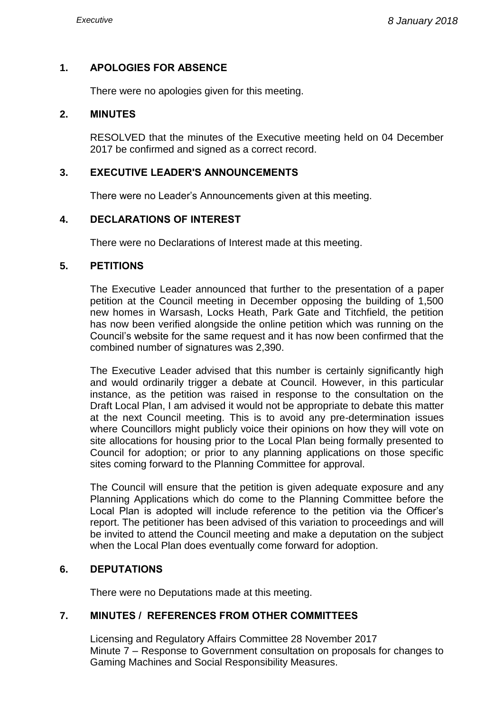#### **1. APOLOGIES FOR ABSENCE**

There were no apologies given for this meeting.

#### **2. MINUTES**

RESOLVED that the minutes of the Executive meeting held on 04 December 2017 be confirmed and signed as a correct record.

#### **3. EXECUTIVE LEADER'S ANNOUNCEMENTS**

There were no Leader's Announcements given at this meeting.

#### **4. DECLARATIONS OF INTEREST**

There were no Declarations of Interest made at this meeting.

#### **5. PETITIONS**

The Executive Leader announced that further to the presentation of a paper petition at the Council meeting in December opposing the building of 1,500 new homes in Warsash, Locks Heath, Park Gate and Titchfield, the petition has now been verified alongside the online petition which was running on the Council's website for the same request and it has now been confirmed that the combined number of signatures was 2,390.

The Executive Leader advised that this number is certainly significantly high and would ordinarily trigger a debate at Council. However, in this particular instance, as the petition was raised in response to the consultation on the Draft Local Plan, I am advised it would not be appropriate to debate this matter at the next Council meeting. This is to avoid any pre-determination issues where Councillors might publicly voice their opinions on how they will vote on site allocations for housing prior to the Local Plan being formally presented to Council for adoption; or prior to any planning applications on those specific sites coming forward to the Planning Committee for approval.

The Council will ensure that the petition is given adequate exposure and any Planning Applications which do come to the Planning Committee before the Local Plan is adopted will include reference to the petition via the Officer's report. The petitioner has been advised of this variation to proceedings and will be invited to attend the Council meeting and make a deputation on the subject when the Local Plan does eventually come forward for adoption.

#### **6. DEPUTATIONS**

There were no Deputations made at this meeting.

#### **7. MINUTES / REFERENCES FROM OTHER COMMITTEES**

Licensing and Regulatory Affairs Committee 28 November 2017 Minute 7 – Response to Government consultation on proposals for changes to Gaming Machines and Social Responsibility Measures.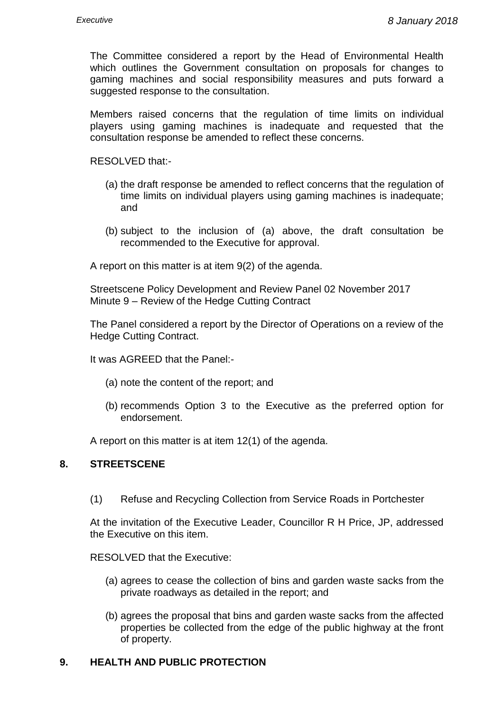The Committee considered a report by the Head of Environmental Health which outlines the Government consultation on proposals for changes to gaming machines and social responsibility measures and puts forward a suggested response to the consultation.

Members raised concerns that the regulation of time limits on individual players using gaming machines is inadequate and requested that the consultation response be amended to reflect these concerns.

RESOLVED that:-

- (a) the draft response be amended to reflect concerns that the regulation of time limits on individual players using gaming machines is inadequate; and
- (b) subject to the inclusion of (a) above, the draft consultation be recommended to the Executive for approval.

A report on this matter is at item 9(2) of the agenda.

Streetscene Policy Development and Review Panel 02 November 2017 Minute 9 – Review of the Hedge Cutting Contract

The Panel considered a report by the Director of Operations on a review of the Hedge Cutting Contract.

It was AGREED that the Panel:-

- (a) note the content of the report; and
- (b) recommends Option 3 to the Executive as the preferred option for endorsement.

A report on this matter is at item 12(1) of the agenda.

#### **8. STREETSCENE**

(1) Refuse and Recycling Collection from Service Roads in Portchester

At the invitation of the Executive Leader, Councillor R H Price, JP, addressed the Executive on this item.

RESOLVED that the Executive:

- (a) agrees to cease the collection of bins and garden waste sacks from the private roadways as detailed in the report; and
- (b) agrees the proposal that bins and garden waste sacks from the affected properties be collected from the edge of the public highway at the front of property.

#### **9. HEALTH AND PUBLIC PROTECTION**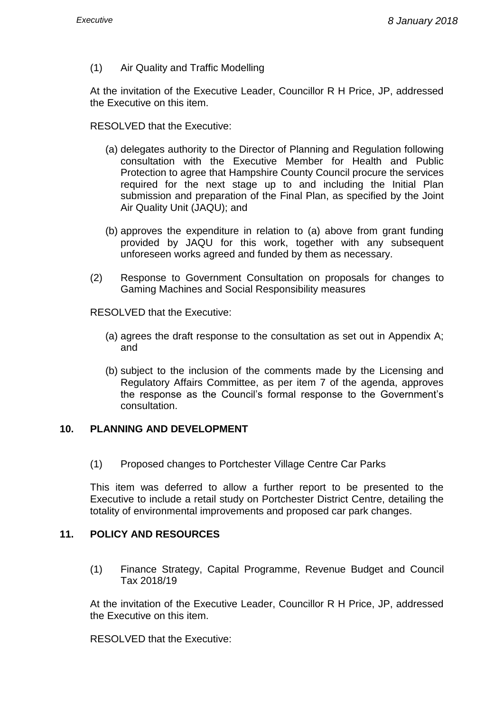(1) Air Quality and Traffic Modelling

At the invitation of the Executive Leader, Councillor R H Price, JP, addressed the Executive on this item.

RESOLVED that the Executive:

- (a) delegates authority to the Director of Planning and Regulation following consultation with the Executive Member for Health and Public Protection to agree that Hampshire County Council procure the services required for the next stage up to and including the Initial Plan submission and preparation of the Final Plan, as specified by the Joint Air Quality Unit (JAQU); and
- (b) approves the expenditure in relation to (a) above from grant funding provided by JAQU for this work, together with any subsequent unforeseen works agreed and funded by them as necessary.
- (2) Response to Government Consultation on proposals for changes to Gaming Machines and Social Responsibility measures

RESOLVED that the Executive:

- (a) agrees the draft response to the consultation as set out in Appendix A; and
- (b) subject to the inclusion of the comments made by the Licensing and Regulatory Affairs Committee, as per item 7 of the agenda, approves the response as the Council's formal response to the Government's consultation.

#### **10. PLANNING AND DEVELOPMENT**

(1) Proposed changes to Portchester Village Centre Car Parks

This item was deferred to allow a further report to be presented to the Executive to include a retail study on Portchester District Centre, detailing the totality of environmental improvements and proposed car park changes.

#### **11. POLICY AND RESOURCES**

(1) Finance Strategy, Capital Programme, Revenue Budget and Council Tax 2018/19

At the invitation of the Executive Leader, Councillor R H Price, JP, addressed the Executive on this item.

RESOLVED that the Executive: